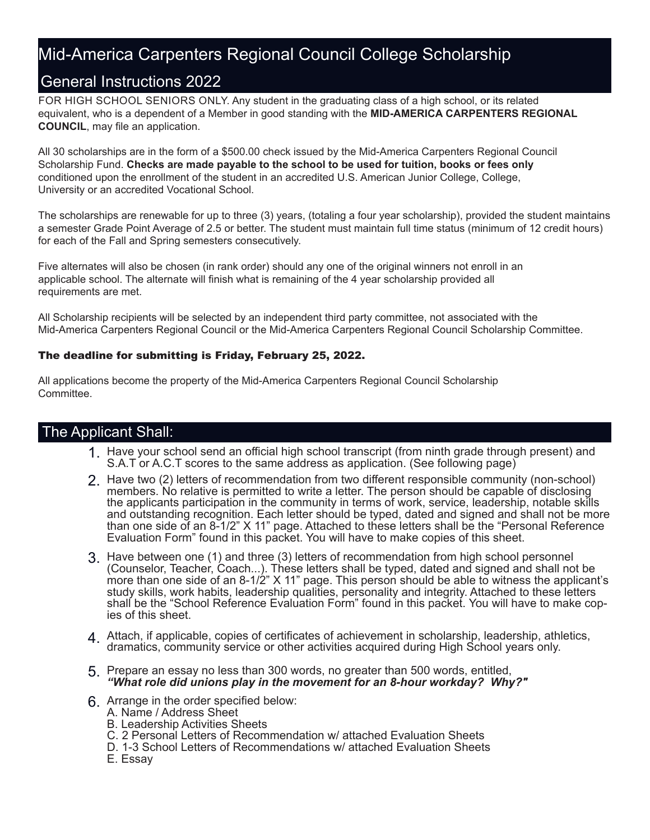### Mid-America Carpenters Regional Council College Scholarship

### General Instructions 2022

FOR HIGH SCHOOL SENIORS ONLY. Any student in the graduating class of a high school, or its related equivalent, who is a dependent of a Member in good standing with the **MID-AMERICA CARPENTERS REGIONAL COUNCIL**, may file an application.

All 30 scholarships are in the form of a \$500.00 check issued by the Mid-America Carpenters Regional Council Scholarship Fund. **Checks are made payable to the school to be used for tuition, books or fees only** conditioned upon the enrollment of the student in an accredited U.S. American Junior College, College, University or an accredited Vocational School.

The scholarships are renewable for up to three (3) years, (totaling a four year scholarship), provided the student maintains a semester Grade Point Average of 2.5 or better. The student must maintain full time status (minimum of 12 credit hours) for each of the Fall and Spring semesters consecutively.

Five alternates will also be chosen (in rank order) should any one of the original winners not enroll in an applicable school. The alternate will finish what is remaining of the 4 year scholarship provided all requirements are met.

All Scholarship recipients will be selected by an independent third party committee, not associated with the Mid-America Carpenters Regional Council or the Mid-America Carpenters Regional Council Scholarship Committee.

#### The deadline for submitting is Friday, February 25, 2022.

All applications become the property of the Mid-America Carpenters Regional Council Scholarship Committee.

### The Applicant Shall:

- 1. Have your school send an official high school transcript (from ninth grade through present) and 1. Contract the connective connection of the connection of the connection of the connection of the connection of the connec S.A.T or A.C.T scores to the same address as application. (See following page)
- 2. Have two (2) letters of recommendation from two different responsible community (non-school) members. No relative is permitted to write a letter. The person should be capable of disclosing the applicants participation in the community in terms of work, service, leadership, notable skills and outstanding recognition. Each letter should be typed, dated and signed and shall not be more than one side of an 8-1/2" X 11" page. Attached to these letters shall be the "Personal Reference Evaluation Form" found in this packet. You will have to make copies of this sheet.
- 3. Have between one (1) and three (3) letters of recommendation from high school personnel (Counselor, Teacher, Coach...). These letters shall be typed, dated and signed and shall not be more than one side of an 8-1/2" X 11" page. This person should be able to witness the applicant's study skills, work habits, leadership qualities, personality and integrity. Attached to these letters shall be the "School Reference Evaluation Form" found in this packet. You will have to make copies of this sheet.
- 4. Attach, if applicable, copies of certificates of achievement in scholarship, leadership, athletics,  $\frac{1}{2}$ dramatics, community service or other activities acquired during High School years only.
- 5. Prepare an essay no less than 300 words, no greater than 500 words, entitled, *"What role did unions play in the movement for an 8-hour workday? Why?"*
- 6. Arrange in the order specified below:
	- A. Name / Address Sheet
	- B. Leadership Activities Sheets
	- C. 2 Personal Letters of Recommendation w/ attached Evaluation Sheets
	- D. 1-3 School Letters of Recommendations w/ attached Evaluation Sheets
	- E. Essay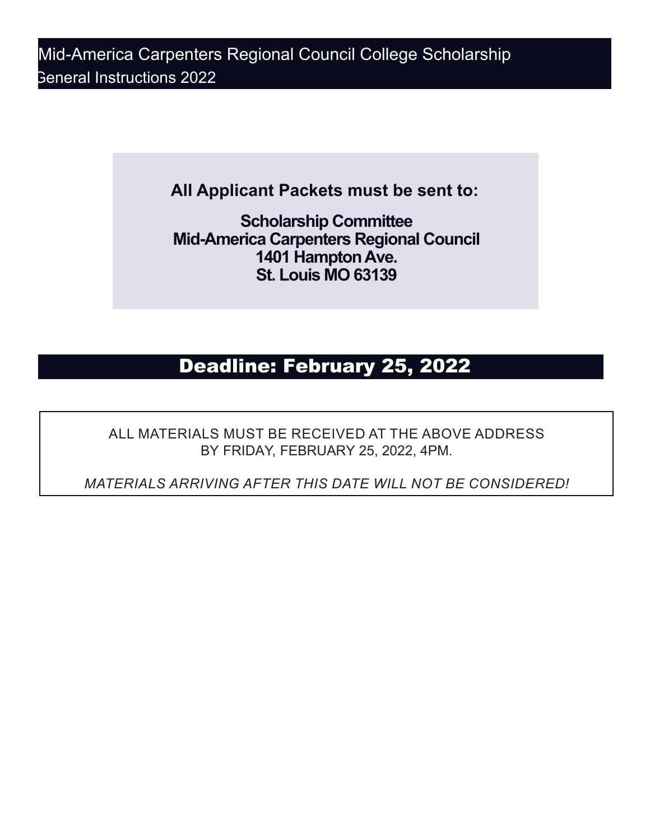Mid-America Carpenters Regional Council College Scholarship General Instructions 2022

**All Applicant Packets must be sent to:**

**Scholarship Committee Mid-America Carpenters Regional Council 1401 Hampton Ave. St. Louis MO 63139**

## Deadline: February 25, 2022

ALL MATERIALS MUST BE RECEIVED AT THE ABOVE ADDRESS BY FRIDAY, FEBRUARY 25, 2022, 4PM.

*MATERIALS ARRIVING AFTER THIS DATE WILL NOT BE CONSIDERED!*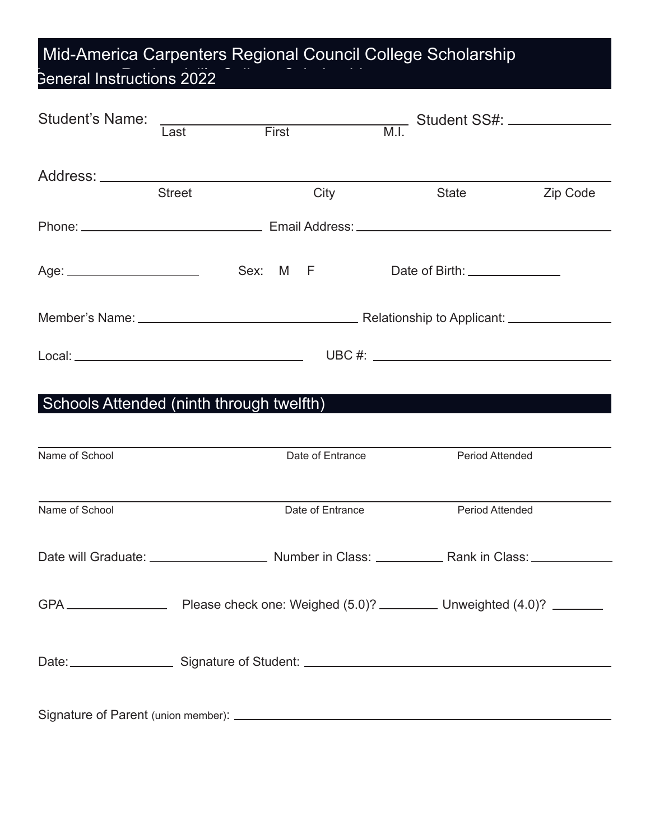# Mid-America Carpenters Regional Council College Scholarship General Instructions 2022

| <b>Student's Name:</b>                                     |                                                                                                                        |  |  |                  |  | M.I. Student SS#:  |          |  |  |  |
|------------------------------------------------------------|------------------------------------------------------------------------------------------------------------------------|--|--|------------------|--|--------------------|----------|--|--|--|
|                                                            | ast First<br>Last                                                                                                      |  |  |                  |  |                    |          |  |  |  |
|                                                            |                                                                                                                        |  |  |                  |  |                    |          |  |  |  |
|                                                            | <b>Street</b>                                                                                                          |  |  | City             |  | <b>State State</b> | Zip Code |  |  |  |
|                                                            |                                                                                                                        |  |  |                  |  |                    |          |  |  |  |
|                                                            |                                                                                                                        |  |  |                  |  |                    |          |  |  |  |
|                                                            |                                                                                                                        |  |  |                  |  |                    |          |  |  |  |
|                                                            |                                                                                                                        |  |  |                  |  |                    |          |  |  |  |
| Schools Attended (ninth through twelfth)<br>Name of School | <u> 1989 - Johann Stoff, deutscher Stoffen und der Stoffen und der Stoffen und der Stoffen und der Stoffen und der</u> |  |  | Date of Entrance |  | Period Attended    |          |  |  |  |
| Name of School                                             |                                                                                                                        |  |  | Date of Entrance |  | Period Attended    |          |  |  |  |
|                                                            |                                                                                                                        |  |  |                  |  |                    |          |  |  |  |
|                                                            |                                                                                                                        |  |  |                  |  |                    |          |  |  |  |
|                                                            |                                                                                                                        |  |  |                  |  |                    |          |  |  |  |
|                                                            |                                                                                                                        |  |  |                  |  |                    |          |  |  |  |

Signature of Parent (union member):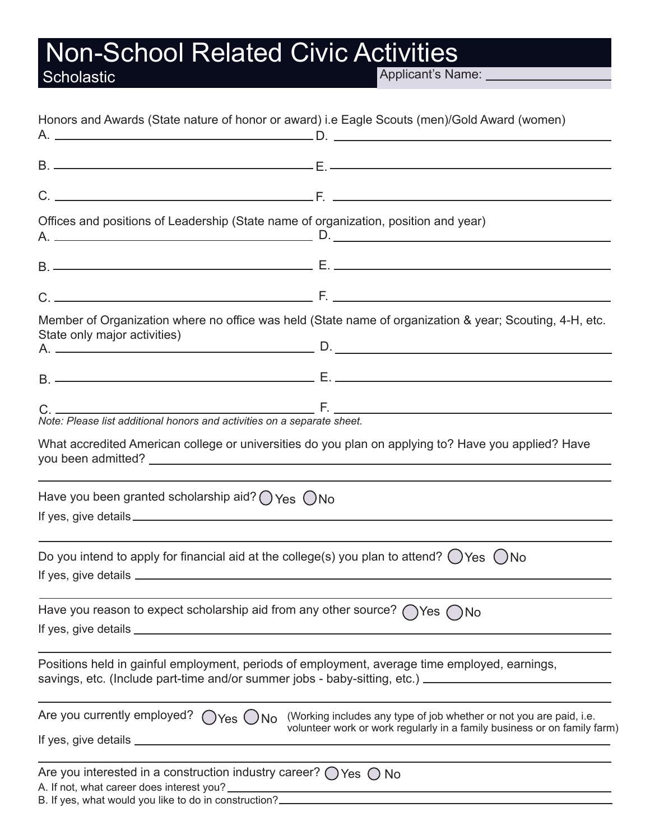# **Non-School Related Civic Activities<br>
Scholastic Applicant's Natural Expolicant's Natural Proprietant's Natural Proprietant's Natural Proprietant's Nature Common Section 100 and 2013 (100 and 2013)**

Applicant's Name: \_\_\_\_\_

|                                                                                                                                              | Honors and Awards (State nature of honor or award) i.e Eagle Scouts (men)/Gold Award (women)                                                                                                          |
|----------------------------------------------------------------------------------------------------------------------------------------------|-------------------------------------------------------------------------------------------------------------------------------------------------------------------------------------------------------|
|                                                                                                                                              |                                                                                                                                                                                                       |
|                                                                                                                                              |                                                                                                                                                                                                       |
|                                                                                                                                              |                                                                                                                                                                                                       |
|                                                                                                                                              | Offices and positions of Leadership (State name of organization, position and year)                                                                                                                   |
|                                                                                                                                              |                                                                                                                                                                                                       |
|                                                                                                                                              |                                                                                                                                                                                                       |
| State only major activities)                                                                                                                 | Member of Organization where no office was held (State name of organization & year; Scouting, 4-H, etc.                                                                                               |
|                                                                                                                                              |                                                                                                                                                                                                       |
|                                                                                                                                              |                                                                                                                                                                                                       |
|                                                                                                                                              | What accredited American college or universities do you plan on applying to? Have you applied? Have                                                                                                   |
| Have you been granted scholarship aid? $\bigcirc$ Yes $\bigcirc$ No                                                                          |                                                                                                                                                                                                       |
|                                                                                                                                              | Do you intend to apply for financial aid at the college(s) you plan to attend? $\bigcirc$ Yes $\bigcirc$ No                                                                                           |
|                                                                                                                                              | Have you reason to expect scholarship aid from any other source? $\bigcap$ Yes $\bigcap$ No                                                                                                           |
|                                                                                                                                              | Positions held in gainful employment, periods of employment, average time employed, earnings,<br>savings, etc. (Include part-time and/or summer jobs - baby-sitting, etc.) __________________________ |
| Are you currently employed? $\bigcirc$ Yes $\bigcirc$ No                                                                                     | (Working includes any type of job whether or not you are paid, i.e.<br>volunteer work or work regularly in a family business or on family farm)                                                       |
| Are you interested in a construction industry career? $\bigcirc$ Yes $\bigcirc$ No<br>B. If yes, what would you like to do in construction?_ |                                                                                                                                                                                                       |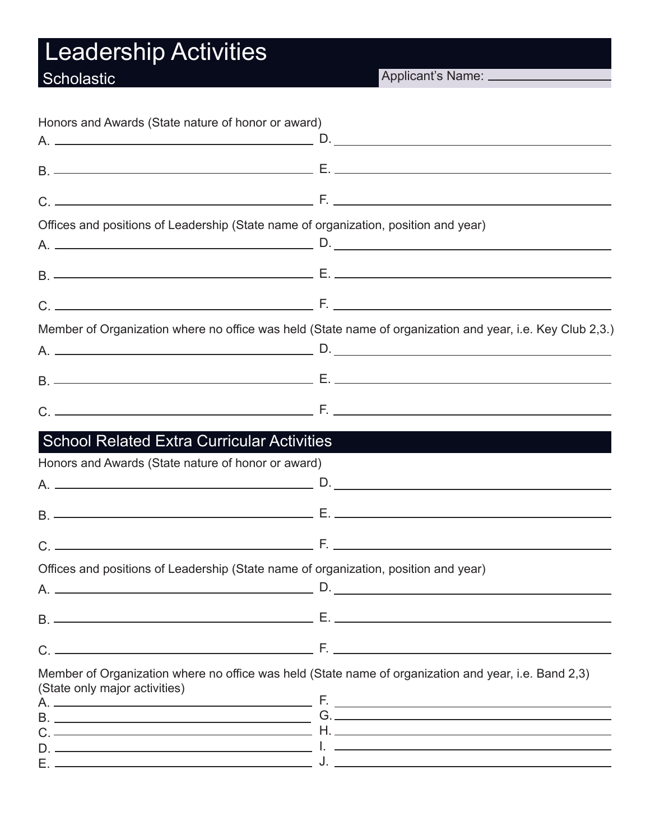# Leadership Activities

# **Scholastic**

Applicant's Name: \_\_\_\_\_\_\_\_\_\_

| Honors and Awards (State nature of honor or award) |                                                                                                                                |  |
|----------------------------------------------------|--------------------------------------------------------------------------------------------------------------------------------|--|
|                                                    |                                                                                                                                |  |
|                                                    |                                                                                                                                |  |
|                                                    |                                                                                                                                |  |
|                                                    |                                                                                                                                |  |
|                                                    | Offices and positions of Leadership (State name of organization, position and year)                                            |  |
|                                                    |                                                                                                                                |  |
|                                                    |                                                                                                                                |  |
|                                                    |                                                                                                                                |  |
|                                                    | Member of Organization where no office was held (State name of organization and year, i.e. Key Club 2,3.)                      |  |
|                                                    |                                                                                                                                |  |
|                                                    |                                                                                                                                |  |
|                                                    |                                                                                                                                |  |
|                                                    | School Related Extra Curricular Activities                                                                                     |  |
| Honors and Awards (State nature of honor or award) |                                                                                                                                |  |
|                                                    |                                                                                                                                |  |
|                                                    |                                                                                                                                |  |
|                                                    |                                                                                                                                |  |
|                                                    | Offices and positions of Leadership (State name of organization, position and year)                                            |  |
|                                                    | $\Delta$ D.                                                                                                                    |  |
|                                                    | <u> 1989 - Johann John Stein, Amerikaansk politiker (* 1905)</u>                                                               |  |
|                                                    |                                                                                                                                |  |
| (State only major activities)                      | Member of Organization where no office was held (State name of organization and year, i.e. Band 2,3)                           |  |
|                                                    |                                                                                                                                |  |
|                                                    |                                                                                                                                |  |
|                                                    |                                                                                                                                |  |
|                                                    | <u> 1990 - Johann John Stone, maria et al. (</u> ). <u>Charles and Charles and Charles and Charles and Charles and Charles</u> |  |
|                                                    |                                                                                                                                |  |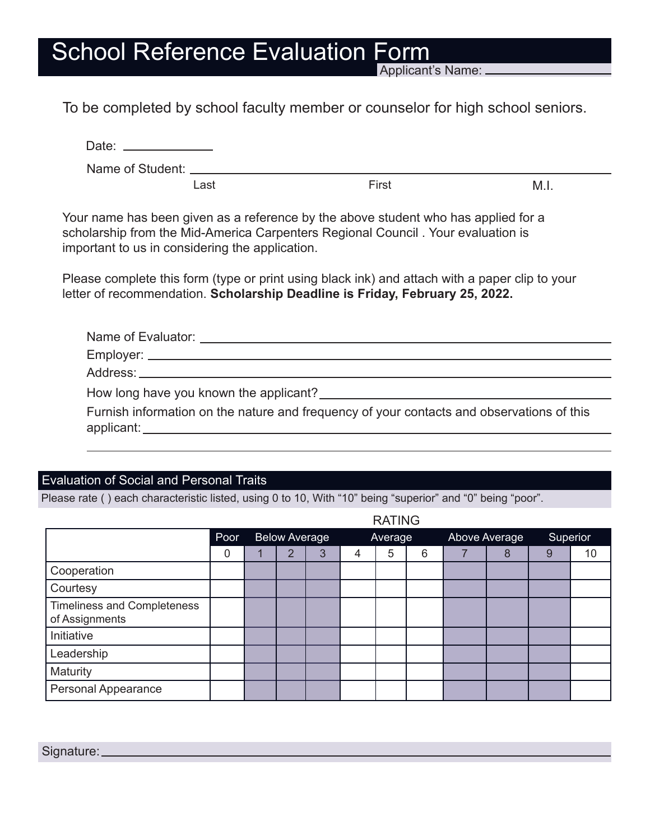# School Reference Evaluation Form

Applicant's Name:

To be completed by school faculty member or counselor for high school seniors.

| Date:                |      |       |      |
|----------------------|------|-------|------|
| Name of Student: ___ |      |       |      |
|                      | Last | First | M.I. |

Your name has been given as a reference by the above student who has applied for a scholarship from the Mid-America Carpenters Regional Council . Your evaluation is important to us in considering the application.

Please complete this form (type or print using black ink) and attach with a paper clip to your letter of recommendation. **Scholarship Deadline is Friday, February 25, 2022.**

| Furnish information on the nature and frequency of your contacts and observations of this |
|-------------------------------------------------------------------------------------------|

### Evaluation of Social and Personal Traits

Please rate ( ) each characteristic listed, using 0 to 10, With "10" being "superior" and "0" being "poor".

|                                                      | <b>RATING</b> |  |                      |   |         |   |   |  |               |          |    |  |
|------------------------------------------------------|---------------|--|----------------------|---|---------|---|---|--|---------------|----------|----|--|
|                                                      | Poor          |  | <b>Below Average</b> |   | Average |   |   |  | Above Average | Superior |    |  |
|                                                      | 0             |  | 2                    | 3 | 4       | 5 | 6 |  | 8             | 9        | 10 |  |
| Cooperation                                          |               |  |                      |   |         |   |   |  |               |          |    |  |
| Courtesy                                             |               |  |                      |   |         |   |   |  |               |          |    |  |
| <b>Timeliness and Completeness</b><br>of Assignments |               |  |                      |   |         |   |   |  |               |          |    |  |
| Initiative                                           |               |  |                      |   |         |   |   |  |               |          |    |  |
| Leadership                                           |               |  |                      |   |         |   |   |  |               |          |    |  |
| Maturity                                             |               |  |                      |   |         |   |   |  |               |          |    |  |
| <b>Personal Appearance</b>                           |               |  |                      |   |         |   |   |  |               |          |    |  |

Signature: